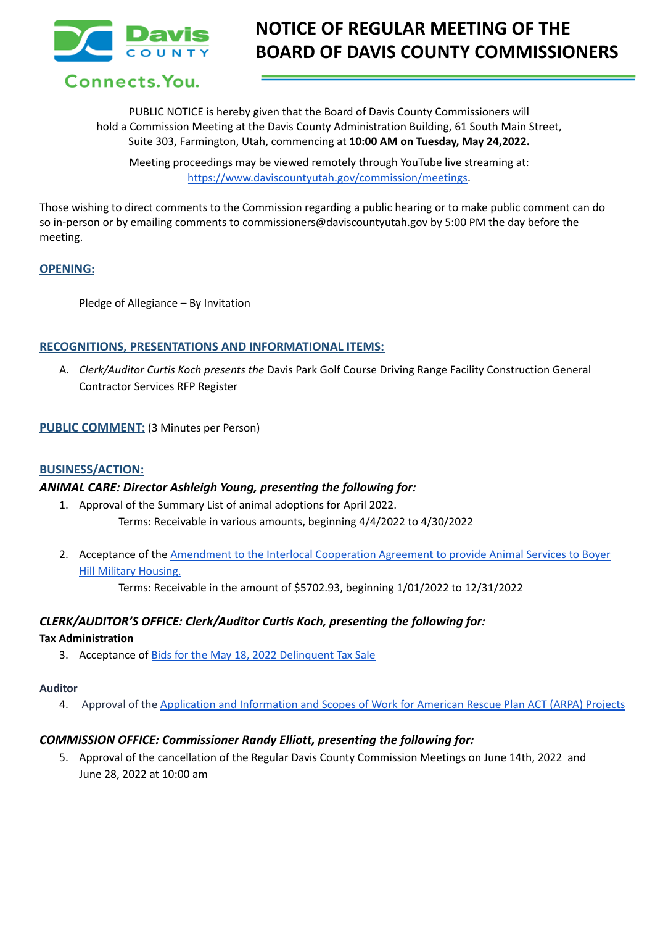

# **NOTICE OF REGULAR MEETING OF THE BOARD OF DAVIS COUNTY COMMISSIONERS**

Connects. You.

PUBLIC NOTICE is hereby given that the Board of Davis County Commissioners will hold a Commission Meeting at the Davis County Administration Building, 61 South Main Street, Suite 303, Farmington, Utah, commencing at **10:00 AM on Tuesday, May 24,2022.**

Meeting proceedings may be viewed remotely through YouTube live streaming at: [https://www.daviscountyutah.gov/commission/meetings.](https://www.daviscountyutah.gov/commission/meetings)

Those wishing to direct comments to the Commission regarding a public hearing or to make public comment can do so in-person or by emailing comments to commissioners@daviscountyutah.gov by 5:00 PM the day before the meeting.

## **OPENING:**

Pledge of Allegiance – By Invitation

# **RECOGNITIONS, PRESENTATIONS AND INFORMATIONAL ITEMS:**

A. *Clerk/Auditor Curtis Koch presents the* Davis Park Golf Course Driving Range Facility Construction General Contractor Services RFP Register

## **PUBLIC COMMENT:** (3 Minutes per Person)

## **BUSINESS/ACTION:**

## *ANIMAL CARE: Director Ashleigh Young, presenting the following for:*

- 1. Approval of the Summary List of animal adoptions for April 2022. Terms: Receivable in various amounts, beginning 4/4/2022 to 4/30/2022
- 2. Acceptance of the [Amendment](https://drive.google.com/file/d/1bmdz_N06EFF0YyZyAjGFvhQqqUJd2E4H/view?usp=sharing) to the Interlocal Cooperation Agreement to provide Animal Services to Boyer Hill Military [Housing.](https://drive.google.com/file/d/1bmdz_N06EFF0YyZyAjGFvhQqqUJd2E4H/view?usp=sharing)

Terms: Receivable in the amount of \$5702.93, beginning 1/01/2022 to 12/31/2022

# *CLERK/AUDITOR'S OFFICE: Clerk/Auditor Curtis Koch, presenting the following for:*

## **Tax Administration**

3. Acceptance of Bids for the May 18, 2022 [Delinquent](https://drive.google.com/file/d/1_mcu4ch14EV7Gtnmt6hW-_vdv5ROEA6i/view?usp=sharing) Tax Sale

## **Auditor**

4. Approval of the Application and [Information](https://drive.google.com/file/d/1hBsN5GM6IEc0qRZ-arDLbRH9RvVAhGvU/view?usp=sharing) and Scopes of Work for American Rescue Plan ACT (ARPA) Projects

# *COMMISSION OFFICE: Commissioner Randy Elliott, presenting the following for:*

5. Approval of the cancellation of the Regular Davis County Commission Meetings on June 14th, 2022 and June 28, 2022 at 10:00 am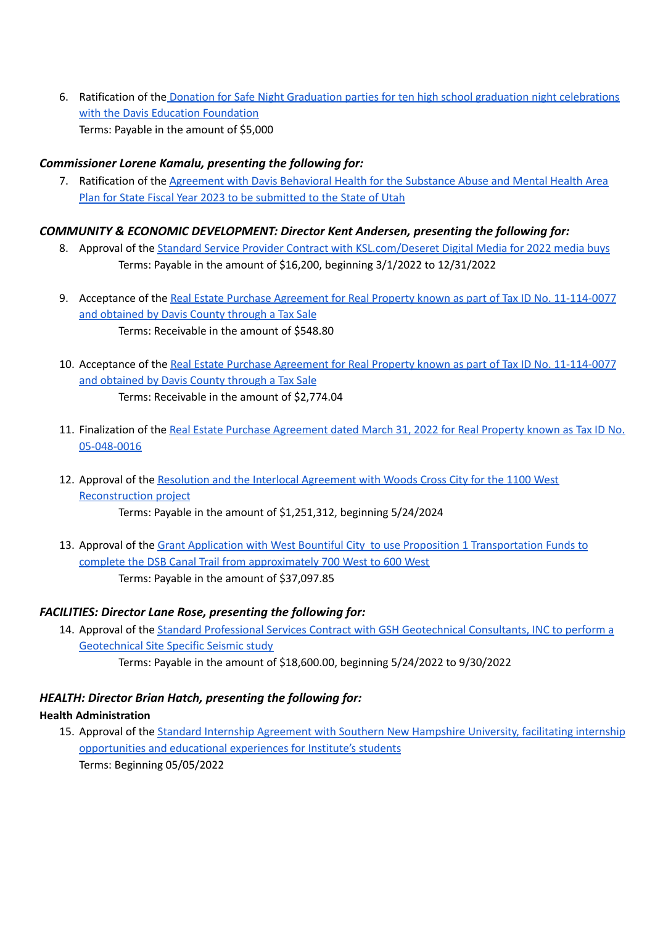6. Ratification of the Donation for Safe Night Graduation parties for ten high school graduation night [celebrations](https://drive.google.com/file/d/1J48fRFLSLDZkLaHOwamZcNC9rv_9daIQ/view?usp=sharing) with the Davis Education [Foundation](https://drive.google.com/file/d/1J48fRFLSLDZkLaHOwamZcNC9rv_9daIQ/view?usp=sharing) Terms: Payable in the amount of \$5,000

# *Commissioner Lorene Kamalu, presenting the following for:*

7. Ratification of the [Agreement](https://drive.google.com/file/d/1BPOF5BAKl7mfSOvDx4rmLLurvV6Bipkk/view?usp=sharing) with Davis Behavioral Health for the Substance Abuse and Mental Health Area Plan for State Fiscal Year 2023 to be [submitted](https://drive.google.com/file/d/1BPOF5BAKl7mfSOvDx4rmLLurvV6Bipkk/view?usp=sharing) to the State of Utah

# *COMMUNITY & ECONOMIC DEVELOPMENT: Director Kent Andersen, presenting the following for:*

- 8. Approval of the Standard Service Provider Contract with [KSL.com/Deseret](https://drive.google.com/file/d/12P0ZR6hQ6TZS44jnN3WVEF-RE7-mTBk3/view?usp=sharing) Digital Media for 2022 media buys Terms: Payable in the amount of \$16,200, beginning 3/1/2022 to 12/31/2022
- 9. Acceptance of the Real Estate Purchase Agreement for Real Property known as part of Tax ID No. [11-114-0077](https://drive.google.com/file/d/1jksJ50BlWFz5eDVkZa4N540vayYiD3UT/view?usp=sharing) and [obtained](https://drive.google.com/file/d/1jksJ50BlWFz5eDVkZa4N540vayYiD3UT/view?usp=sharing) by Davis County through a Tax Sale Terms: Receivable in the amount of \$548.80
- 10. Acceptance of the Real Estate Purchase Agreement for Real Property known as part of Tax ID No. [11-114-0077](https://drive.google.com/file/d/16m06eedoV2Qg88kP74II8VV0_RikqJFR/view?usp=sharing) and [obtained](https://drive.google.com/file/d/16m06eedoV2Qg88kP74II8VV0_RikqJFR/view?usp=sharing) by Davis County through a Tax Sale Terms: Receivable in the amount of \$2,774.04
- 11. Finalization of the Real Estate Purchase [Agreement](https://drive.google.com/file/d/1Mo5NkwsET9hwx3ABIqIQDy5A5nh1g3MU/view?usp=sharing) dated March 31, 2022 for Real Property known as Tax ID No. [05-048-0016](https://drive.google.com/file/d/1Mo5NkwsET9hwx3ABIqIQDy5A5nh1g3MU/view?usp=sharing)
- 12. Approval of the Resolution and the Interlocal [Agreement](https://drive.google.com/file/d/1OYUZ6yMF4S_XSEy5wnYLGmiRkdtGyN0E/view?usp=sharing) with Woods Cross City for the 1100 West [Reconstruction](https://drive.google.com/file/d/1OYUZ6yMF4S_XSEy5wnYLGmiRkdtGyN0E/view?usp=sharing) project Terms: Payable in the amount of \$1,251,312, beginning 5/24/2024
- 13. Approval of the Grant Application with West Bountiful City to use Proposition 1 [Transportation](https://drive.google.com/file/d/1InSUM-geZp5rm9nAMYyvfrJrKuSOi2gM/view?usp=sharing) Funds to complete the DSB Canal Trail from [approximately](https://drive.google.com/file/d/1InSUM-geZp5rm9nAMYyvfrJrKuSOi2gM/view?usp=sharing) 700 West to 600 West Terms: Payable in the amount of \$37,097.85

# *FACILITIES: Director Lane Rose, presenting the following for:*

14. Approval of the Standard Professional Services Contract with GSH [Geotechnical](https://drive.google.com/file/d/13xrKS3-Z6w5ZQeR7X_WOq2KacuUdBcG6/view?usp=sharing) Consultants, INC to perform a [Geotechnical](https://drive.google.com/file/d/13xrKS3-Z6w5ZQeR7X_WOq2KacuUdBcG6/view?usp=sharing) Site Specific Seismic study

# Terms: Payable in the amount of \$18,600.00, beginning 5/24/2022 to 9/30/2022

# *HEALTH: Director Brian Hatch, presenting the following for:*

# **Health Administration**

15. Approval of the Standard Internship [Agreement](https://drive.google.com/file/d/19SVgjjFwNHfbRUOXe-LOYlejjBqVoCuE/view?usp=sharing) with Southern New Hampshire University, facilitating internship [opportunities](https://drive.google.com/file/d/19SVgjjFwNHfbRUOXe-LOYlejjBqVoCuE/view?usp=sharing) and educational experiences for Institute's students Terms: Beginning 05/05/2022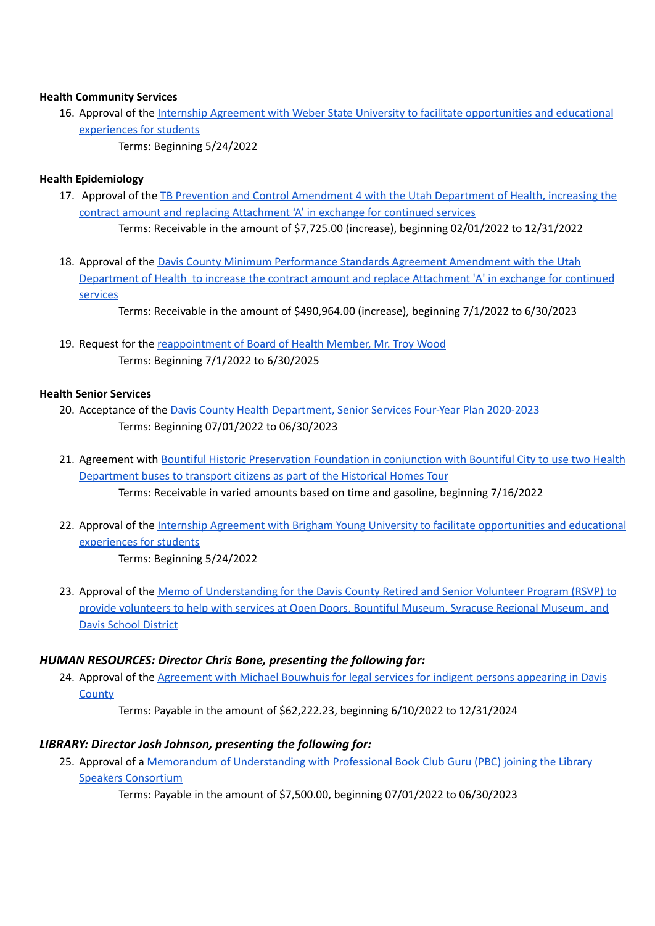## **Health Community Services**

- 16. Approval of the Internship Agreement with Weber State University to facilitate [opportunities](https://drive.google.com/file/d/1DjlzIC3pXmnojINv_090aOgQV2wOTXYI/view?usp=sharing) and educational [experiences](https://drive.google.com/file/d/1DjlzIC3pXmnojINv_090aOgQV2wOTXYI/view?usp=sharing) for students
	- Terms: Beginning 5/24/2022

## **Health Epidemiology**

- 17. Approval of the TB Prevention and Control [Amendment](https://drive.google.com/file/d/184S5gIIlEu8nX1U1WYdibLtlZsMxIKxb/view?usp=sharing) 4 with the Utah Department of Health, increasing the contract amount and replacing [Attachment](https://drive.google.com/file/d/184S5gIIlEu8nX1U1WYdibLtlZsMxIKxb/view?usp=sharing) 'A' in exchange for continued services Terms: Receivable in the amount of \$7,725.00 (increase), beginning 02/01/2022 to 12/31/2022
- 18. Approval of the Davis County Minimum [Performance](https://drive.google.com/file/d/1E1f4tjkKotJgknYNnqZ6fYXb3k85UXhZ/view?usp=sharing) Standards Agreement Amendment with the Utah [Department](https://drive.google.com/file/d/1E1f4tjkKotJgknYNnqZ6fYXb3k85UXhZ/view?usp=sharing) of Health to increase the contract amount and replace Attachment 'A' in exchange for continued [services](https://drive.google.com/file/d/1E1f4tjkKotJgknYNnqZ6fYXb3k85UXhZ/view?usp=sharing)

Terms: Receivable in the amount of \$490,964.00 (increase), beginning 7/1/2022 to 6/30/2023

19. Request for the [reappointment](https://drive.google.com/file/d/1R9AXDH1VQlL1gGxrW_dHrLbA2oggymNO/view?usp=sharing) of Board of Health Member, Mr. Troy Wood Terms: Beginning 7/1/2022 to 6/30/2025

## **Health Senior Services**

- 20. Acceptance of the Davis County Health [Department,](https://drive.google.com/file/d/1XsM-dGr7Tl8PfpV_9O8no1wCwmsH83MR/view?usp=sharing) Senior Services Four-Year Plan 2020-2023 Terms: Beginning 07/01/2022 to 06/30/2023
- 21. Agreement with Bountiful Historic [Preservation](https://drive.google.com/file/d/1RyU2vHbjRNvTQNxbbx8NRTTDjj4BbhRs/view?usp=sharing) Foundation in conjunction with Bountiful City to use two Health [Department](https://drive.google.com/file/d/1RyU2vHbjRNvTQNxbbx8NRTTDjj4BbhRs/view?usp=sharing) buses to transport citizens as part of the Historical Homes Tour Terms: Receivable in varied amounts based on time and gasoline, beginning 7/16/2022
- 22. Approval of the Internship Agreement with Brigham Young University to facilitate [opportunities](https://drive.google.com/file/d/1r4SwK-M5Vb88WYF7FK1XBqK69mnrPOJl/view?usp=sharing) and educational [experiences](https://drive.google.com/file/d/1r4SwK-M5Vb88WYF7FK1XBqK69mnrPOJl/view?usp=sharing) for students Terms: Beginning 5/24/2022
- 23. Approval of the Memo of [Understanding](https://drive.google.com/file/d/1KjpugsRqsDpD8XBkESxc7fzsZmtXEbwz/view?usp=sharing) for the Davis County Retired and Senior Volunteer Program (RSVP) to provide [volunteers](https://drive.google.com/file/d/1KjpugsRqsDpD8XBkESxc7fzsZmtXEbwz/view?usp=sharing) to help with services at Open Doors, Bountiful Museum, Syracuse Regional Museum, and Davis School [District](https://drive.google.com/file/d/1KjpugsRqsDpD8XBkESxc7fzsZmtXEbwz/view?usp=sharing)

# *HUMAN RESOURCES: Director Chris Bone, presenting the following for:*

24. Approval of the [Agreement](https://drive.google.com/file/d/1BVQ7nel_TzqpStlqu1fln5Sn_4NcFbnV/view?usp=sharing) with Michael Bouwhuis for legal services for indigent persons appearing in Davis **[County](https://drive.google.com/file/d/1BVQ7nel_TzqpStlqu1fln5Sn_4NcFbnV/view?usp=sharing)** 

Terms: Payable in the amount of \$62,222.23, beginning 6/10/2022 to 12/31/2024

# *LIBRARY: Director Josh Johnson, presenting the following for:*

25. Approval of a Memorandum of [Understanding](https://drive.google.com/file/d/1pkQkaFX_Quyrq0B9XeyVhMSCFJhcR5ah/view?usp=sharing) with Professional Book Club Guru (PBC) joining the Library Speakers [Consortium](https://drive.google.com/file/d/1pkQkaFX_Quyrq0B9XeyVhMSCFJhcR5ah/view?usp=sharing)

Terms: Payable in the amount of \$7,500.00, beginning 07/01/2022 to 06/30/2023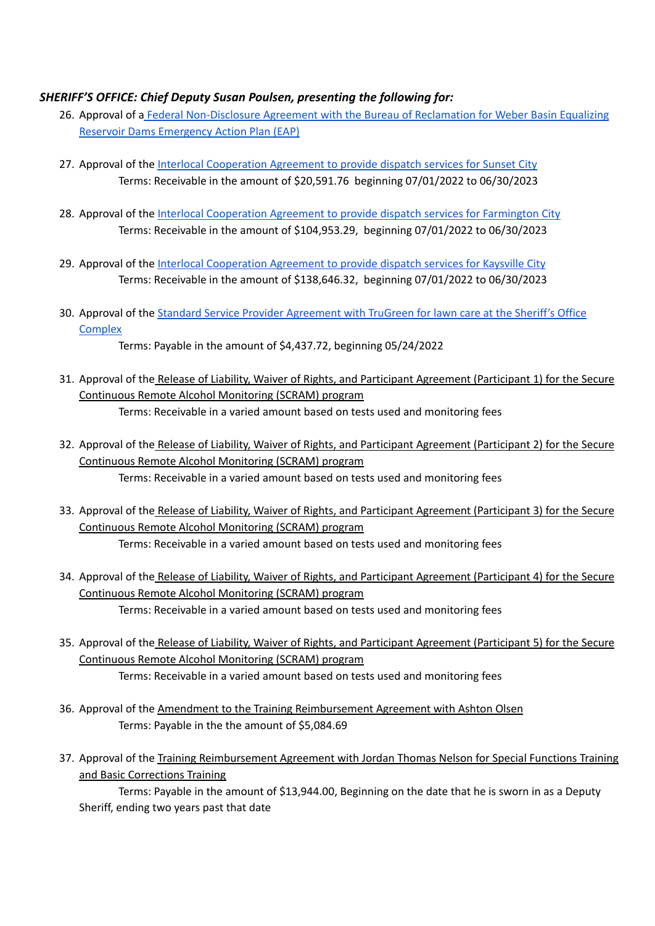# *SHERIFF'S OFFICE: Chief Deputy Susan Poulsen, presenting the following for:*

- 26. Approval of a Federal [Non-Disclosure](https://drive.google.com/file/d/1x5Rhcg9Akg_0uN_a_yqTUUm3bn0J5LPP/view?usp=sharing) Agreement with the Bureau of Reclamation for Weber Basin Equalizing Reservoir Dams [Emergency](https://drive.google.com/file/d/1x5Rhcg9Akg_0uN_a_yqTUUm3bn0J5LPP/view?usp=sharing) Action Plan (EAP)
- 27. Approval of the Interlocal [Cooperation](https://drive.google.com/file/d/1x5Rhcg9Akg_0uN_a_yqTUUm3bn0J5LPP/view?usp=sharing) Agreement to provide dispatch services for Sunset City Terms: Receivable in the amount of \$20,591.76 beginning 07/01/2022 to 06/30/2023
- 28. Approval of the Interlocal [Cooperation](https://drive.google.com/file/d/1Kjj_JIRo14MDek40CmRG-oV3lkPVXLvp/view?usp=sharing) Agreement to provide dispatch services for Farmington City Terms: Receivable in the amount of \$104,953.29, beginning 07/01/2022 to 06/30/2023
- 29. Approval of the Interlocal [Cooperation](https://drive.google.com/file/d/16t6squn5_5F6MWPw4Oj6l0f6UwhsFH_y/view?usp=sharing) Agreement to provide dispatch services for Kaysville City Terms: Receivable in the amount of \$138,646.32, beginning 07/01/2022 to 06/30/2023
- 30. Approval of the Standard Service Provider [Agreement](https://drive.google.com/file/d/1_J-2ToUdR_I2OcJGrbYIwh41TdMKpYNf/view?usp=sharing) with TruGreen for lawn care at the Sheriff's Office **[Complex](https://drive.google.com/file/d/1_J-2ToUdR_I2OcJGrbYIwh41TdMKpYNf/view?usp=sharing)**

Terms: Payable in the amount of \$4,437.72, beginning 05/24/2022

- 31. Approval of the Release of Liability, Waiver of Rights, and Participant Agreement (Participant 1) for the Secure Continuous Remote Alcohol Monitoring (SCRAM) program Terms: Receivable in a varied amount based on tests used and monitoring fees
- 32. Approval of the Release of Liability, Waiver of Rights, and Participant Agreement (Participant 2) for the Secure Continuous Remote Alcohol Monitoring (SCRAM) program Terms: Receivable in a varied amount based on tests used and monitoring fees
- 33. Approval of the Release of Liability, Waiver of Rights, and Participant Agreement (Participant 3) for the Secure Continuous Remote Alcohol Monitoring (SCRAM) program Terms: Receivable in a varied amount based on tests used and monitoring fees
- 34. Approval of the Release of Liability, Waiver of Rights, and Participant Agreement (Participant 4) for the Secure Continuous Remote Alcohol Monitoring (SCRAM) program Terms: Receivable in a varied amount based on tests used and monitoring fees
- 35. Approval of the Release of Liability, Waiver of Rights, and Participant Agreement (Participant 5) for the Secure Continuous Remote Alcohol Monitoring (SCRAM) program Terms: Receivable in a varied amount based on tests used and monitoring fees
- 36. Approval of the Amendment to the Training Reimbursement Agreement with Ashton Olsen Terms: Payable in the the amount of \$5,084.69
- 37. Approval of the Training Reimbursement Agreement with Jordan Thomas Nelson for Special Functions Training and Basic Corrections Training

Terms: Payable in the amount of \$13,944.00, Beginning on the date that he is sworn in as a Deputy Sheriff, ending two years past that date